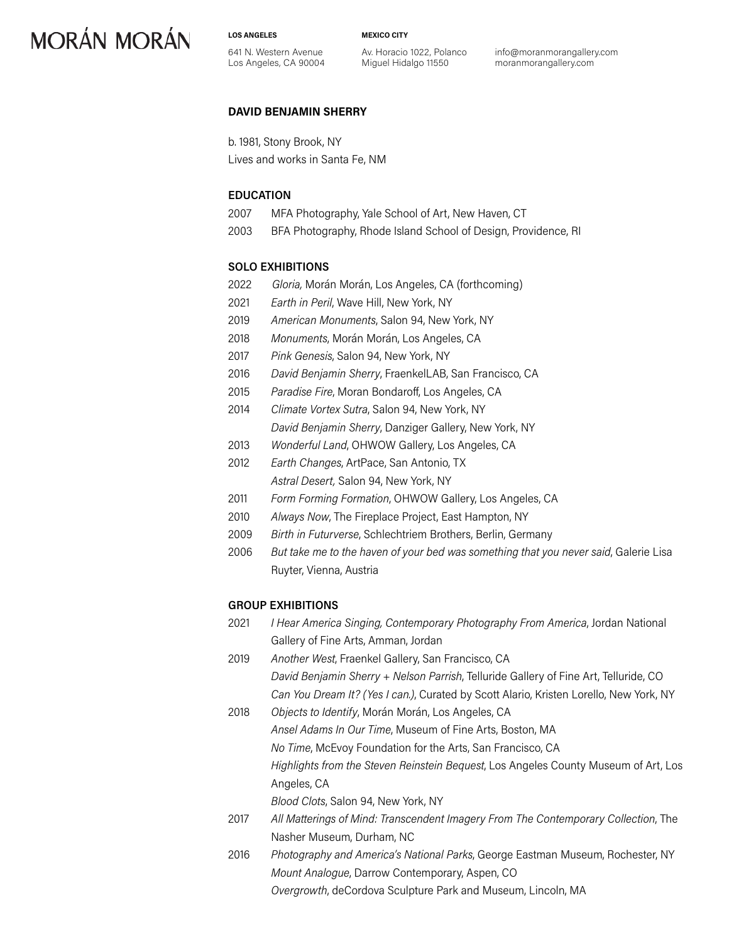**LOS ANGELES**

**MEXICO CITY**

641 N. Western Avenue Los Angeles, CA 90004 Av. Horacio 1022, Polanco Miguel Hidalgo 11550

info@moranmorangallery.com moranmorangallery.com

#### **DAVID BENJAMIN SHERRY**

b. 1981, Stony Brook, NY Lives and works in Santa Fe, NM

#### **EDUCATION**

- 2007 MFA Photography, Yale School of Art, New Haven, CT
- 2003 BFA Photography, Rhode Island School of Design, Providence, RI

#### **SOLO EXHIBITIONS**

- 2022 *Gloria,* Morán Morán, Los Angeles, CA (forthcoming)
- 2021 *Earth in Peril*, Wave Hill, New York, NY
- 2019 *American Monuments*, Salon 94, New York, NY
- 2018 *Monuments*, Morán Morán, Los Angeles, CA
- 2017 *Pink Genesis*, Salon 94, New York, NY
- 2016 *David Benjamin Sherry*, FraenkelLAB, San Francisco, CA
- 2015 *Paradise Fire*, Moran Bondaroff, Los Angeles, CA
- 2014 *Climate Vortex Sutra*, Salon 94, New York, NY *David Benjamin Sherry*, Danziger Gallery, New York, NY
- 2013 *Wonderful Land*, OHWOW Gallery, Los Angeles, CA
- 2012 *Earth Changes*, ArtPace, San Antonio, TX *Astral Desert,* Salon 94, New York, NY
- 2011 *Form Forming Formation*, OHWOW Gallery, Los Angeles, CA
- 2010 *Always Now*, The Fireplace Project, East Hampton, NY
- 2009 *Birth in Futurverse*, Schlechtriem Brothers, Berlin, Germany
- 2006 *But take me to the haven of your bed was something that you never said*, Galerie Lisa Ruyter, Vienna, Austria

#### **GROUP EXHIBITIONS**

| 2021 | I Hear America Singing, Contemporary Photography From America, Jordan National         |
|------|----------------------------------------------------------------------------------------|
|      | Gallery of Fine Arts, Amman, Jordan                                                    |
| 2019 | Another West, Fraenkel Gallery, San Francisco, CA                                      |
|      | David Benjamin Sherry + Nelson Parrish, Telluride Gallery of Fine Art, Telluride, CO   |
|      | Can You Dream It? (Yes I can.), Curated by Scott Alario, Kristen Lorello, New York, NY |
| 2018 | Objects to Identify, Morán Morán, Los Angeles, CA                                      |
|      | Ansel Adams In Our Time, Museum of Fine Arts, Boston, MA                               |
|      | No Time, McEvoy Foundation for the Arts, San Francisco, CA                             |
|      | Highlights from the Steven Reinstein Bequest, Los Angeles County Museum of Art, Los    |
|      | Angeles, CA                                                                            |
|      | Blood Clots, Salon 94, New York, NY                                                    |
| 2017 | All Matterings of Mind: Transcendent Imagery From The Contemporary Collection, The     |
|      | Nasher Museum, Durham, NC                                                              |
|      |                                                                                        |

2016 *Photography and America's National Parks*, George Eastman Museum, Rochester, NY *Mount Analogue*, Darrow Contemporary, Aspen, CO *Overgrowth*, deCordova Sculpture Park and Museum, Lincoln, MA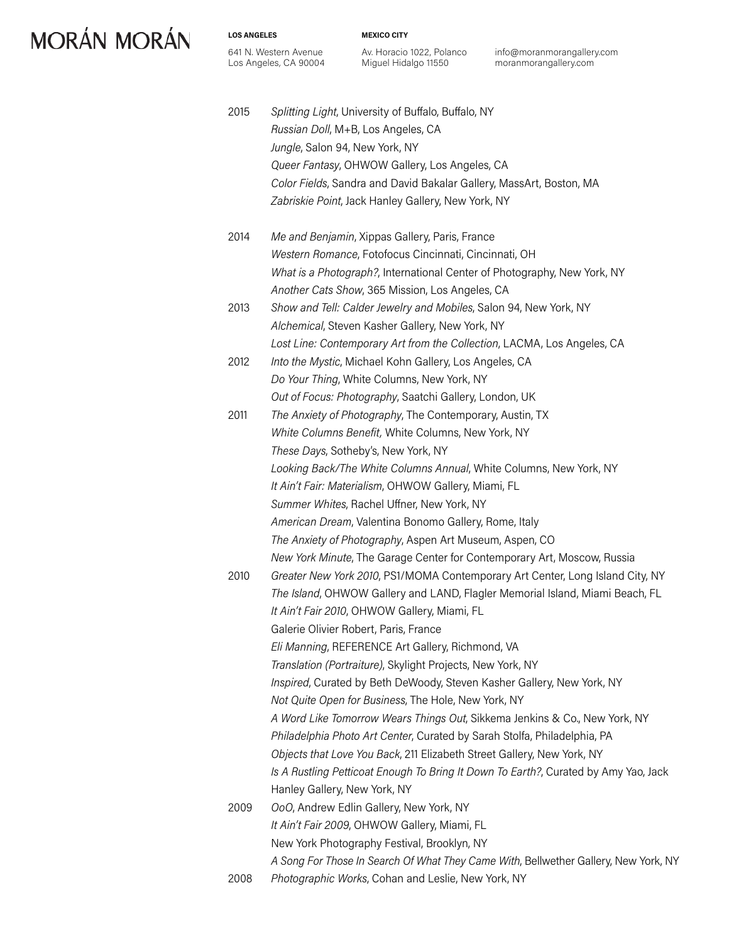**LOS ANGELES**

641 N. Western Avenue Los Angeles, CA 90004 **MEXICO CITY**

Av. Horacio 1022, Polanco Miguel Hidalgo 11550

info@moranmorangallery.com moranmorangallery.com

- 2015 *Splitting Light*, University of Buffalo, Buffalo, NY *Russian Doll*, M+B, Los Angeles, CA *Jungle*, Salon 94, New York, NY *Queer Fantasy*, OHWOW Gallery, Los Angeles, CA *Color Fields*, Sandra and David Bakalar Gallery, MassArt, Boston, MA *Zabriskie Point*, Jack Hanley Gallery, New York, NY
- 2014 *Me and Benjamin*, Xippas Gallery, Paris, France *Western Romance*, Fotofocus Cincinnati, Cincinnati, OH *What is a Photograph?*, International Center of Photography, New York, NY *Another Cats Show*, 365 Mission, Los Angeles, CA 2013 *Show and Tell: Calder Jewelry and Mobiles*, Salon 94, New York, NY
- *Alchemical*, Steven Kasher Gallery, New York, NY *Lost Line: Contemporary Art from the Collection*, LACMA, Los Angeles, CA
- 2012 *Into the Mystic*, Michael Kohn Gallery, Los Angeles, CA *Do Your Thing*, White Columns, New York, NY *Out of Focus: Photography*, Saatchi Gallery, London, UK
- 2011 *The Anxiety of Photography*, The Contemporary, Austin, TX *White Columns Benefit,* White Columns, New York, NY *These Days*, Sotheby's, New York, NY *Looking Back/The White Columns Annual*, White Columns, New York, NY *It Ain't Fair: Materialism*, OHWOW Gallery, Miami, FL *Summer Whites*, Rachel Uffner, New York, NY *American Dream*, Valentina Bonomo Gallery, Rome, Italy *The Anxiety of Photography*, Aspen Art Museum, Aspen, CO *New York Minute*, The Garage Center for Contemporary Art, Moscow, Russia
- 2010 *Greater New York 2010*, PS1/MOMA Contemporary Art Center, Long Island City, NY *The Island*, OHWOW Gallery and LAND, Flagler Memorial Island, Miami Beach, FL *It Ain't Fair 2010*, OHWOW Gallery, Miami, FL Galerie Olivier Robert, Paris, France *Eli Manning*, REFERENCE Art Gallery, Richmond, VA *Translation (Portraiture)*, Skylight Projects, New York, NY *Inspired*, Curated by Beth DeWoody, Steven Kasher Gallery, New York, NY *Not Quite Open for Business*, The Hole, New York, NY *A Word Like Tomorrow Wears Things Out*, Sikkema Jenkins & Co., New York, NY *Philadelphia Photo Art Center*, Curated by Sarah Stolfa, Philadelphia, PA *Objects that Love You Back*, 211 Elizabeth Street Gallery, New York, NY *Is A Rustling Petticoat Enough To Bring It Down To Earth?*, Curated by Amy Yao, Jack Hanley Gallery, New York, NY 2009 *OoO*, Andrew Edlin Gallery, New York, NY *It Ain't Fair 2009*, OHWOW Gallery, Miami, FL New York Photography Festival, Brooklyn, NY
	- *A Song For Those In Search Of What They Came With*, Bellwether Gallery, New York, NY
- 2008 *Photographic Works*, Cohan and Leslie, New York, NY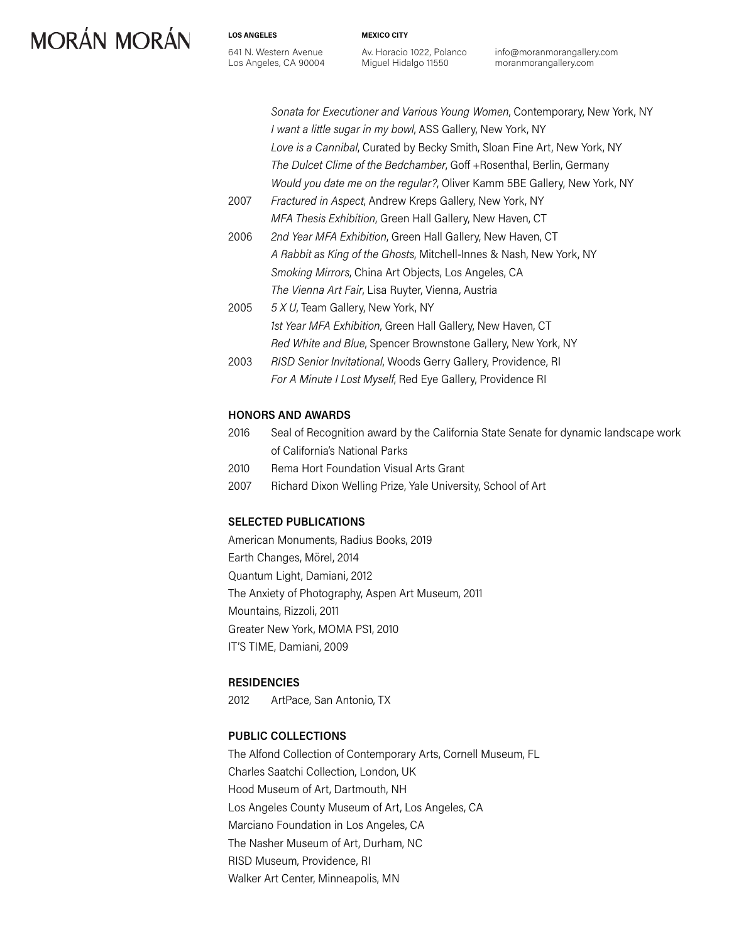641 N. Western Avenue Los Angeles, CA 90004

**LOS ANGELES**

Av. Horacio 1022, Polanco Miguel Hidalgo 11550

**MEXICO CITY**

info@moranmorangallery.com moranmorangallery.com

*Sonata for Executioner and Various Young Women*, Contemporary, New York, NY *I want a little sugar in my bowl*, ASS Gallery, New York, NY *Love is a Cannibal*, Curated by Becky Smith, Sloan Fine Art, New York, NY *The Dulcet Clime of the Bedchamber*, Goff +Rosenthal, Berlin, Germany *Would you date me on the regular?*, Oliver Kamm 5BE Gallery, New York, NY

- 2007 *Fractured in Aspect*, Andrew Kreps Gallery, New York, NY *MFA Thesis Exhibition*, Green Hall Gallery, New Haven, CT
- 2006 *2nd Year MFA Exhibition*, Green Hall Gallery, New Haven, CT *A Rabbit as King of the Ghosts*, Mitchell-Innes & Nash, New York, NY *Smoking Mirrors*, China Art Objects, Los Angeles, CA *The Vienna Art Fair*, Lisa Ruyter, Vienna, Austria
- 2005 *5 X U*, Team Gallery, New York, NY *1st Year MFA Exhibition*, Green Hall Gallery, New Haven, CT *Red White and Blue*, Spencer Brownstone Gallery, New York, NY
- 2003 *RISD Senior Invitational*, Woods Gerry Gallery, Providence, RI *For A Minute I Lost Myself*, Red Eye Gallery, Providence RI

#### **HONORS AND AWARDS**

- 2016 Seal of Recognition award by the California State Senate for dynamic landscape work of California's National Parks
- 2010 Rema Hort Foundation Visual Arts Grant
- 2007 Richard Dixon Welling Prize, Yale University, School of Art

#### **SELECTED PUBLICATIONS**

American Monuments, Radius Books, 2019 Earth Changes, Mörel, 2014 Quantum Light, Damiani, 2012 The Anxiety of Photography, Aspen Art Museum, 2011 Mountains, Rizzoli, 2011 Greater New York, MOMA PS1, 2010 IT'S TIME, Damiani, 2009

#### **RESIDENCIES**

2012 ArtPace, San Antonio, TX

#### **PUBLIC COLLECTIONS**

The Alfond Collection of Contemporary Arts, Cornell Museum, FL Charles Saatchi Collection, London, UK Hood Museum of Art, Dartmouth, NH Los Angeles County Museum of Art, Los Angeles, CA Marciano Foundation in Los Angeles, CA The Nasher Museum of Art, Durham, NC RISD Museum, Providence, RI Walker Art Center, Minneapolis, MN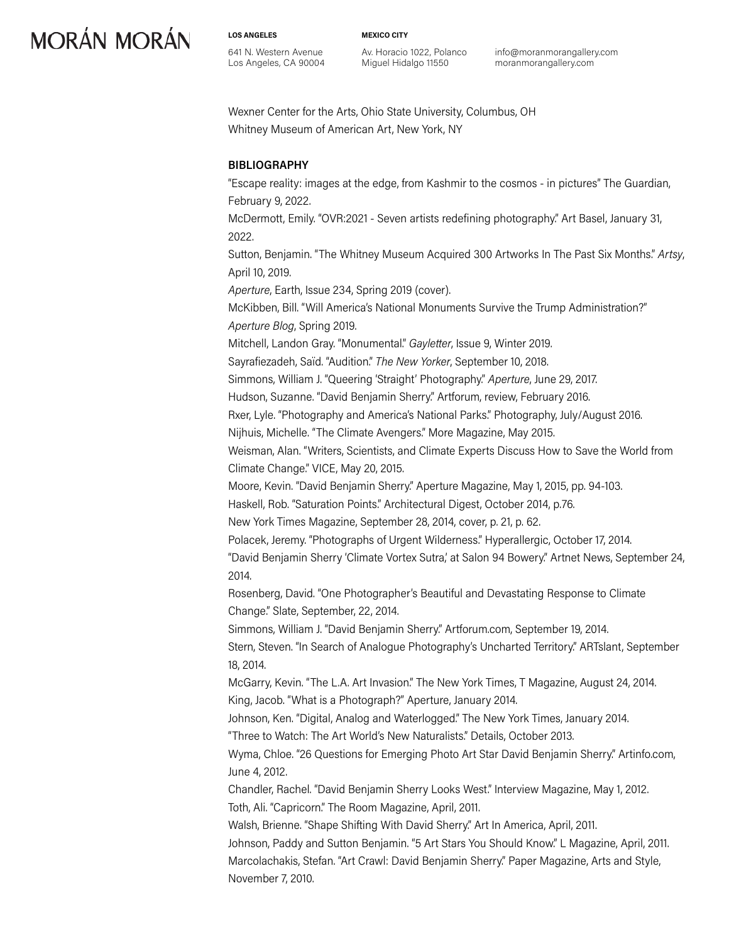**LOS ANGELES**

641 N. Western Avenue Los Angeles, CA 90004 **MEXICO CITY**

Av. Horacio 1022, Polanco Miguel Hidalgo 11550

info@moranmorangallery.com moranmorangallery.com

Wexner Center for the Arts, Ohio State University, Columbus, OH Whitney Museum of American Art, New York, NY

### **BIBLIOGRAPHY**

"Escape reality: images at the edge, from Kashmir to the cosmos - in pictures" The Guardian, February 9, 2022.

McDermott, Emily. "OVR:2021 - Seven artists redefining photography." Art Basel, January 31, 2022.

Sutton, Benjamin. "The Whitney Museum Acquired 300 Artworks In The Past Six Months." *Artsy*, April 10, 2019.

*Aperture*, Earth, Issue 234, Spring 2019 (cover).

McKibben, Bill. "Will America's National Monuments Survive the Trump Administration?" *Aperture Blog*, Spring 2019. Mitchell, Landon Gray. "Monumental." *Gayletter*, Issue 9, Winter 2019.

Sayrafiezadeh, Saïd. "Audition." *The New Yorker*, September 10, 2018.

Simmons, William J. "Queering 'Straight' Photography." *Aperture*, June 29, 2017.

Hudson, Suzanne. "David Benjamin Sherry." Artforum, review, February 2016.

Rxer, Lyle. "Photography and America's National Parks." Photography, July/August 2016.

Nijhuis, Michelle. "The Climate Avengers." More Magazine, May 2015.

Weisman, Alan. "Writers, Scientists, and Climate Experts Discuss How to Save the World from Climate Change." VICE, May 20, 2015.

Moore, Kevin. "David Benjamin Sherry." Aperture Magazine, May 1, 2015, pp. 94-103.

Haskell, Rob. "Saturation Points." Architectural Digest, October 2014, p.76.

New York Times Magazine, September 28, 2014, cover, p. 21, p. 62.

Polacek, Jeremy. "Photographs of Urgent Wilderness." Hyperallergic, October 17, 2014.

"David Benjamin Sherry 'Climate Vortex Sutra,' at Salon 94 Bowery." Artnet News, September 24, 2014.

Rosenberg, David. "One Photographer's Beautiful and Devastating Response to Climate Change." Slate, September, 22, 2014.

Simmons, William J. "David Benjamin Sherry." Artforum.com, September 19, 2014.

Stern, Steven. "In Search of Analogue Photography's Uncharted Territory." ARTslant, September 18, 2014.

McGarry, Kevin. "The L.A. Art Invasion." The New York Times, T Magazine, August 24, 2014. King, Jacob. "What is a Photograph?" Aperture, January 2014.

Johnson, Ken. "Digital, Analog and Waterlogged." The New York Times, January 2014.

"Three to Watch: The Art World's New Naturalists." Details, October 2013.

Wyma, Chloe. "26 Questions for Emerging Photo Art Star David Benjamin Sherry." Artinfo.com, June 4, 2012.

Chandler, Rachel. "David Benjamin Sherry Looks West." Interview Magazine, May 1, 2012. Toth, Ali. "Capricorn." The Room Magazine, April, 2011.

Walsh, Brienne. "Shape Shifting With David Sherry." Art In America, April, 2011.

Johnson, Paddy and Sutton Benjamin. "5 Art Stars You Should Know." L Magazine, April, 2011. Marcolachakis, Stefan. "Art Crawl: David Benjamin Sherry." Paper Magazine, Arts and Style, November 7, 2010.